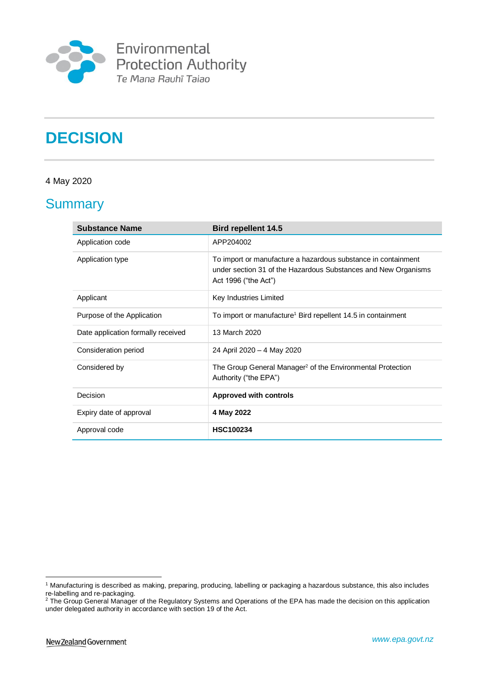

# **DECISION**

### 4 May 2020

### **Summary**

| <b>Substance Name</b>              | <b>Bird repellent 14.5</b>                                                                                                                              |
|------------------------------------|---------------------------------------------------------------------------------------------------------------------------------------------------------|
| Application code                   | APP204002                                                                                                                                               |
| Application type                   | To import or manufacture a hazardous substance in containment<br>under section 31 of the Hazardous Substances and New Organisms<br>Act 1996 ("the Act") |
| Applicant                          | Key Industries Limited                                                                                                                                  |
| Purpose of the Application         | To import or manufacture <sup>1</sup> Bird repellent 14.5 in containment                                                                                |
| Date application formally received | 13 March 2020                                                                                                                                           |
| Consideration period               | 24 April 2020 - 4 May 2020                                                                                                                              |
| Considered by                      | The Group General Manager <sup>2</sup> of the Environmental Protection<br>Authority ("the EPA")                                                         |
| Decision                           | <b>Approved with controls</b>                                                                                                                           |
| Expiry date of approval            | 4 May 2022                                                                                                                                              |
| Approval code                      | <b>HSC100234</b>                                                                                                                                        |

<u>.</u>

<sup>1</sup> Manufacturing is described as making, preparing, producing, labelling or packaging a hazardous substance, this also includes re-labelling and re-packaging.

 $2$  The Group General Manager of the Regulatory Systems and Operations of the EPA has made the decision on this application under delegated authority in accordance with section 19 of the Act.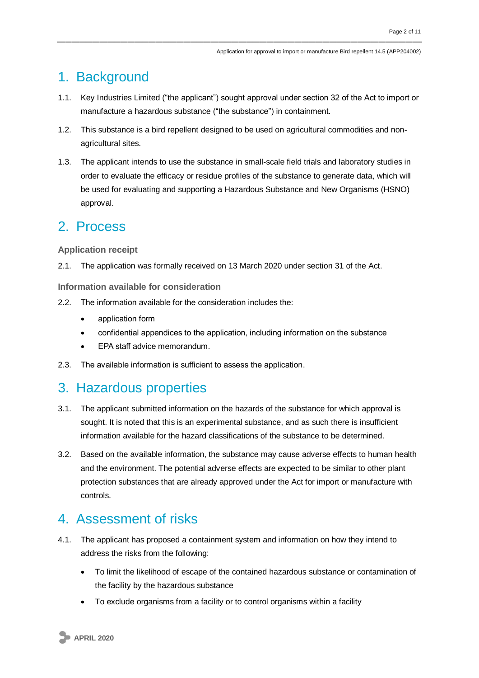### 1. Background

- 1.1. Key Industries Limited ("the applicant") sought approval under section 32 of the Act to import or manufacture a hazardous substance ("the substance") in containment.
- 1.2. This substance is a bird repellent designed to be used on agricultural commodities and nonagricultural sites.
- 1.3. The applicant intends to use the substance in small-scale field trials and laboratory studies in order to evaluate the efficacy or residue profiles of the substance to generate data, which will be used for evaluating and supporting a Hazardous Substance and New Organisms (HSNO) approval.

### 2. Process

### **Application receipt**

2.1. The application was formally received on 13 March 2020 under section 31 of the Act.

**Information available for consideration**

- 2.2. The information available for the consideration includes the:
	- application form
	- confidential appendices to the application, including information on the substance
	- EPA staff advice memorandum.
- 2.3. The available information is sufficient to assess the application.

### 3. Hazardous properties

- 3.1. The applicant submitted information on the hazards of the substance for which approval is sought. It is noted that this is an experimental substance, and as such there is insufficient information available for the hazard classifications of the substance to be determined.
- 3.2. Based on the available information, the substance may cause adverse effects to human health and the environment. The potential adverse effects are expected to be similar to other plant protection substances that are already approved under the Act for import or manufacture with controls.

### 4. Assessment of risks

- 4.1. The applicant has proposed a containment system and information on how they intend to address the risks from the following:
	- To limit the likelihood of escape of the contained hazardous substance or contamination of the facility by the hazardous substance
	- To exclude organisms from a facility or to control organisms within a facility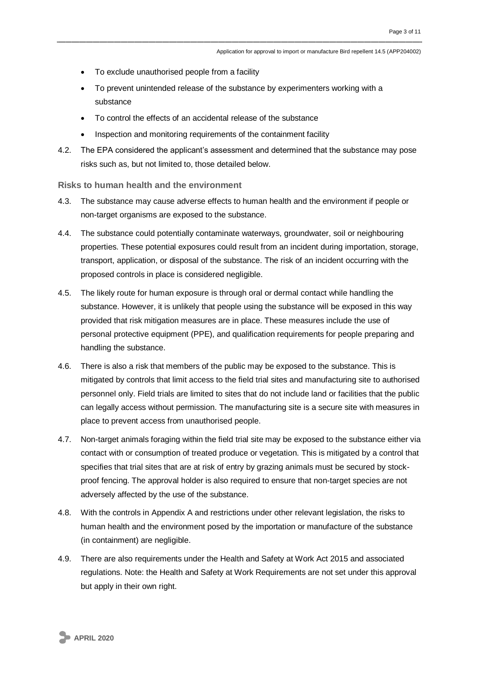- To exclude unauthorised people from a facility
- To prevent unintended release of the substance by experimenters working with a substance
- To control the effects of an accidental release of the substance
- Inspection and monitoring requirements of the containment facility
- 4.2. The EPA considered the applicant's assessment and determined that the substance may pose risks such as, but not limited to, those detailed below.

#### **Risks to human health and the environment**

- 4.3. The substance may cause adverse effects to human health and the environment if people or non-target organisms are exposed to the substance.
- 4.4. The substance could potentially contaminate waterways, groundwater, soil or neighbouring properties. These potential exposures could result from an incident during importation, storage, transport, application, or disposal of the substance. The risk of an incident occurring with the proposed controls in place is considered negligible.
- 4.5. The likely route for human exposure is through oral or dermal contact while handling the substance. However, it is unlikely that people using the substance will be exposed in this way provided that risk mitigation measures are in place. These measures include the use of personal protective equipment (PPE), and qualification requirements for people preparing and handling the substance.
- 4.6. There is also a risk that members of the public may be exposed to the substance. This is mitigated by controls that limit access to the field trial sites and manufacturing site to authorised personnel only. Field trials are limited to sites that do not include land or facilities that the public can legally access without permission. The manufacturing site is a secure site with measures in place to prevent access from unauthorised people.
- 4.7. Non-target animals foraging within the field trial site may be exposed to the substance either via contact with or consumption of treated produce or vegetation. This is mitigated by a control that specifies that trial sites that are at risk of entry by grazing animals must be secured by stockproof fencing. The approval holder is also required to ensure that non-target species are not adversely affected by the use of the substance.
- 4.8. With the controls in Appendix A and restrictions under other relevant legislation, the risks to human health and the environment posed by the importation or manufacture of the substance (in containment) are negligible.
- 4.9. There are also requirements under the Health and Safety at Work Act 2015 and associated regulations. Note: the Health and Safety at Work Requirements are not set under this approval but apply in their own right.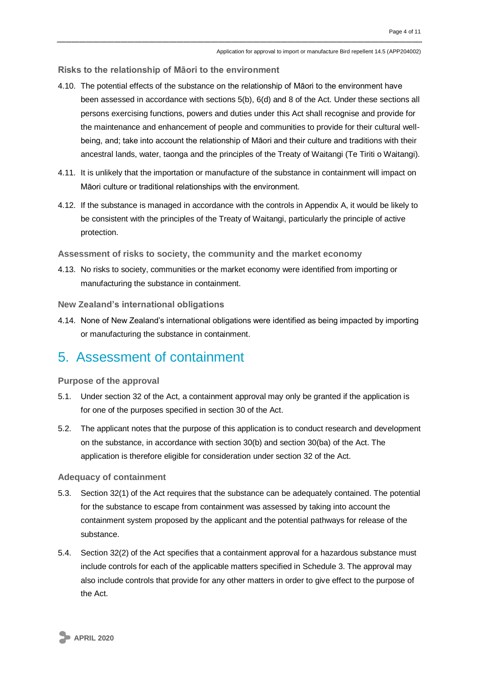**Risks to the relationship of Māori to the environment**

- 4.10. The potential effects of the substance on the relationship of Māori to the environment have been assessed in accordance with sections 5(b), 6(d) and 8 of the Act. Under these sections all persons exercising functions, powers and duties under this Act shall recognise and provide for the maintenance and enhancement of people and communities to provide for their cultural wellbeing, and; take into account the relationship of Māori and their culture and traditions with their ancestral lands, water, taonga and the principles of the Treaty of Waitangi (Te Tiriti o Waitangi).
- 4.11. It is unlikely that the importation or manufacture of the substance in containment will impact on Māori culture or traditional relationships with the environment.
- 4.12. If the substance is managed in accordance with the controls in Appendix A, it would be likely to be consistent with the principles of the Treaty of Waitangi, particularly the principle of active protection.

**Assessment of risks to society, the community and the market economy**

4.13. No risks to society, communities or the market economy were identified from importing or manufacturing the substance in containment.

**New Zealand's international obligations**

4.14. None of New Zealand's international obligations were identified as being impacted by importing or manufacturing the substance in containment.

### 5. Assessment of containment

**Purpose of the approval**

- 5.1. Under section 32 of the Act, a containment approval may only be granted if the application is for one of the purposes specified in section 30 of the Act.
- 5.2. The applicant notes that the purpose of this application is to conduct research and development on the substance, in accordance with section 30(b) and section 30(ba) of the Act. The application is therefore eligible for consideration under section 32 of the Act.

#### **Adequacy of containment**

- 5.3. Section 32(1) of the Act requires that the substance can be adequately contained. The potential for the substance to escape from containment was assessed by taking into account the containment system proposed by the applicant and the potential pathways for release of the substance.
- 5.4. Section 32(2) of the Act specifies that a containment approval for a hazardous substance must include controls for each of the applicable matters specified in Schedule 3. The approval may also include controls that provide for any other matters in order to give effect to the purpose of the Act.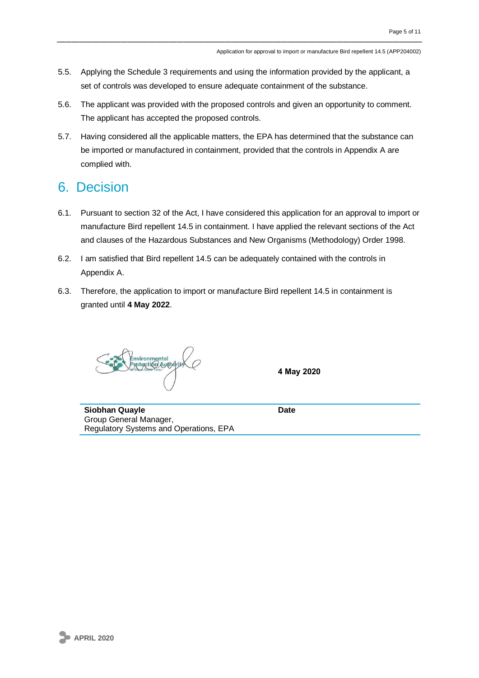- 5.5. Applying the Schedule 3 requirements and using the information provided by the applicant, a set of controls was developed to ensure adequate containment of the substance.
- 5.6. The applicant was provided with the proposed controls and given an opportunity to comment. The applicant has accepted the proposed controls.
- 5.7. Having considered all the applicable matters, the EPA has determined that the substance can be imported or manufactured in containment, provided that the controls in Appendix A are complied with.

# 6. Decision

- 6.1. Pursuant to section 32 of the Act, I have considered this application for an approval to import or manufacture Bird repellent 14.5 in containment. I have applied the relevant sections of the Act and clauses of the Hazardous Substances and New Organisms (Methodology) Order 1998.
- 6.2. I am satisfied that Bird repellent 14.5 can be adequately contained with the controls in Appendix A.
- 6.3. Therefore, the application to import or manufacture Bird repellent 14.5 in containment is granted until **4 May 2022**.

nvironmental<br>rptgcti6r/Auth4rit

**4 May 2020**

**Siobhan Quayle Date Date** Group General Manager, Regulatory Systems and Operations, EPA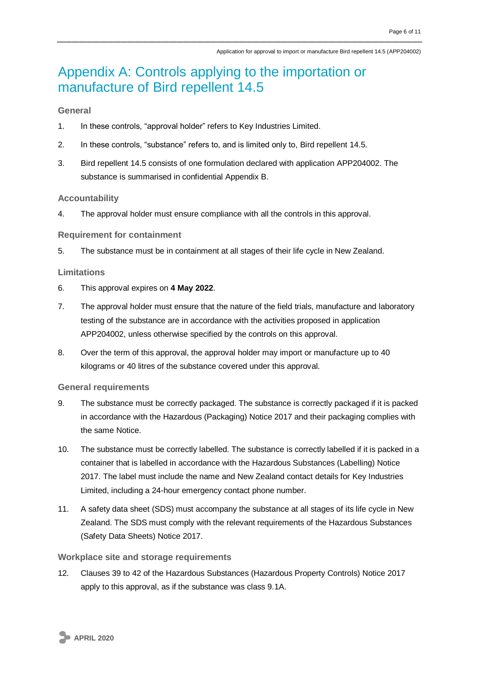### Appendix A: Controls applying to the importation or manufacture of Bird repellent 14.5

#### **General**

- 1. In these controls, "approval holder" refers to Key Industries Limited.
- 2. In these controls, "substance" refers to, and is limited only to, Bird repellent 14.5.
- 3. Bird repellent 14.5 consists of one formulation declared with application APP204002. The substance is summarised in confidential Appendix B.

#### **Accountability**

4. The approval holder must ensure compliance with all the controls in this approval.

#### **Requirement for containment**

5. The substance must be in containment at all stages of their life cycle in New Zealand.

#### **Limitations**

- 6. This approval expires on **4 May 2022**.
- 7. The approval holder must ensure that the nature of the field trials, manufacture and laboratory testing of the substance are in accordance with the activities proposed in application APP204002, unless otherwise specified by the controls on this approval.
- 8. Over the term of this approval, the approval holder may import or manufacture up to 40 kilograms or 40 litres of the substance covered under this approval.

#### **General requirements**

- 9. The substance must be correctly packaged. The substance is correctly packaged if it is packed in accordance with the Hazardous (Packaging) Notice 2017 and their packaging complies with the same Notice.
- 10. The substance must be correctly labelled. The substance is correctly labelled if it is packed in a container that is labelled in accordance with the Hazardous Substances (Labelling) Notice 2017. The label must include the name and New Zealand contact details for Key Industries Limited, including a 24-hour emergency contact phone number.
- 11. A safety data sheet (SDS) must accompany the substance at all stages of its life cycle in New Zealand. The SDS must comply with the relevant requirements of the Hazardous Substances (Safety Data Sheets) Notice 2017.

#### **Workplace site and storage requirements**

12. Clauses 39 to 42 of the Hazardous Substances (Hazardous Property Controls) Notice 2017 apply to this approval, as if the substance was class 9.1A.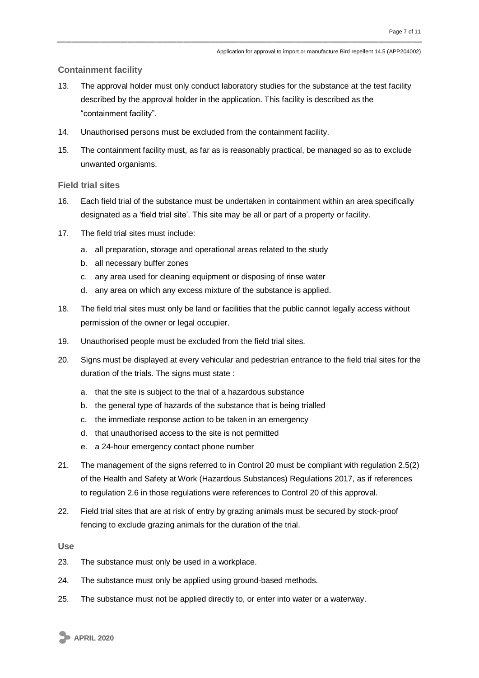#### **Containment facility**

- 13. The approval holder must only conduct laboratory studies for the substance at the test facility described by the approval holder in the application. This facility is described as the "containment facility".
- 14. Unauthorised persons must be excluded from the containment facility.
- 15. The containment facility must, as far as is reasonably practical, be managed so as to exclude unwanted organisms.

#### **Field trial sites**

- 16. Each field trial of the substance must be undertaken in containment within an area specifically designated as a 'field trial site'. This site may be all or part of a property or facility.
- 17. The field trial sites must include:
	- a. all preparation, storage and operational areas related to the study
	- b. all necessary buffer zones
	- c. any area used for cleaning equipment or disposing of rinse water
	- d. any area on which any excess mixture of the substance is applied.
- 18. The field trial sites must only be land or facilities that the public cannot legally access without permission of the owner or legal occupier.
- 19. Unauthorised people must be excluded from the field trial sites.
- 20. Signs must be displayed at every vehicular and pedestrian entrance to the field trial sites for the duration of the trials. The signs must state :
	- a. that the site is subject to the trial of a hazardous substance
	- b. the general type of hazards of the substance that is being trialled
	- c. the immediate response action to be taken in an emergency
	- d. that unauthorised access to the site is not permitted
	- e. a 24-hour emergency contact phone number
- 21. The management of the signs referred to in Control 20 must be compliant with regulation 2.5(2) of the Health and Safety at Work (Hazardous Substances) Regulations 2017, as if references to regulation 2.6 in those regulations were references to Control 20 of this approval.
- 22. Field trial sites that are at risk of entry by grazing animals must be secured by stock-proof fencing to exclude grazing animals for the duration of the trial.

**Use**

- 23. The substance must only be used in a workplace.
- 24. The substance must only be applied using ground-based methods.
- 25. The substance must not be applied directly to, or enter into water or a waterway.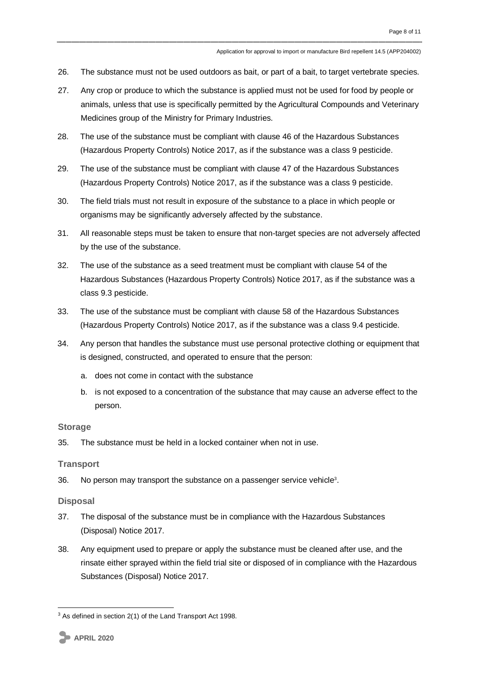- 26. The substance must not be used outdoors as bait, or part of a bait, to target vertebrate species.
- 27. Any crop or produce to which the substance is applied must not be used for food by people or animals, unless that use is specifically permitted by the Agricultural Compounds and Veterinary Medicines group of the Ministry for Primary Industries.
- 28. The use of the substance must be compliant with clause 46 of the Hazardous Substances (Hazardous Property Controls) Notice 2017, as if the substance was a class 9 pesticide.
- 29. The use of the substance must be compliant with clause 47 of the Hazardous Substances (Hazardous Property Controls) Notice 2017, as if the substance was a class 9 pesticide.
- 30. The field trials must not result in exposure of the substance to a place in which people or organisms may be significantly adversely affected by the substance.
- 31. All reasonable steps must be taken to ensure that non-target species are not adversely affected by the use of the substance.
- 32. The use of the substance as a seed treatment must be compliant with clause 54 of the Hazardous Substances (Hazardous Property Controls) Notice 2017, as if the substance was a class 9.3 pesticide.
- 33. The use of the substance must be compliant with clause 58 of the Hazardous Substances (Hazardous Property Controls) Notice 2017, as if the substance was a class 9.4 pesticide.
- 34. Any person that handles the substance must use personal protective clothing or equipment that is designed, constructed, and operated to ensure that the person:
	- a. does not come in contact with the substance
	- b. is not exposed to a concentration of the substance that may cause an adverse effect to the person.

#### **Storage**

35. The substance must be held in a locked container when not in use.

#### **Transport**

36. No person may transport the substance on a passenger service vehicle<sup>3</sup>.

#### **Disposal**

- 37. The disposal of the substance must be in compliance with the Hazardous Substances (Disposal) Notice 2017.
- 38. Any equipment used to prepare or apply the substance must be cleaned after use, and the rinsate either sprayed within the field trial site or disposed of in compliance with the Hazardous Substances (Disposal) Notice 2017.

<sup>1</sup> <sup>3</sup> As defined in section 2(1) of the Land Transport Act 1998.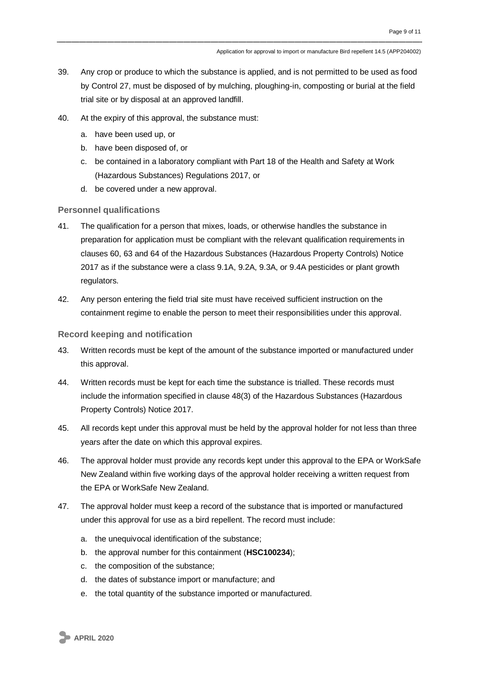- 39. Any crop or produce to which the substance is applied, and is not permitted to be used as food by Control 27, must be disposed of by mulching, ploughing-in, composting or burial at the field trial site or by disposal at an approved landfill.
- 40. At the expiry of this approval, the substance must:
	- a. have been used up, or
	- b. have been disposed of, or
	- c. be contained in a laboratory compliant with Part 18 of the Health and Safety at Work (Hazardous Substances) Regulations 2017, or
	- d. be covered under a new approval.

**Personnel qualifications**

- 41. The qualification for a person that mixes, loads, or otherwise handles the substance in preparation for application must be compliant with the relevant qualification requirements in clauses 60, 63 and 64 of the Hazardous Substances (Hazardous Property Controls) Notice 2017 as if the substance were a class 9.1A, 9.2A, 9.3A, or 9.4A pesticides or plant growth regulators.
- 42. Any person entering the field trial site must have received sufficient instruction on the containment regime to enable the person to meet their responsibilities under this approval.

#### **Record keeping and notification**

- 43. Written records must be kept of the amount of the substance imported or manufactured under this approval.
- 44. Written records must be kept for each time the substance is trialled. These records must include the information specified in clause 48(3) of the Hazardous Substances (Hazardous Property Controls) Notice 2017.
- 45. All records kept under this approval must be held by the approval holder for not less than three years after the date on which this approval expires.
- 46. The approval holder must provide any records kept under this approval to the EPA or WorkSafe New Zealand within five working days of the approval holder receiving a written request from the EPA or WorkSafe New Zealand.
- 47. The approval holder must keep a record of the substance that is imported or manufactured under this approval for use as a bird repellent. The record must include:
	- a. the unequivocal identification of the substance;
	- b. the approval number for this containment (**HSC100234**);
	- c. the composition of the substance;
	- d. the dates of substance import or manufacture; and
	- e. the total quantity of the substance imported or manufactured.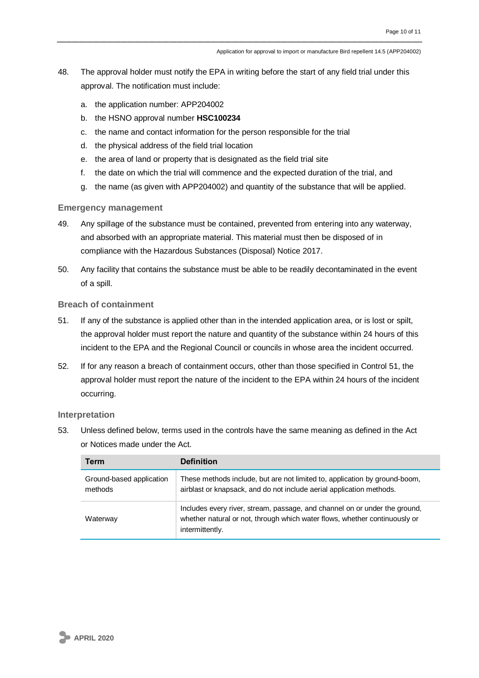- 48. The approval holder must notify the EPA in writing before the start of any field trial under this approval. The notification must include:
	- a. the application number: APP204002
	- b. the HSNO approval number **HSC100234**
	- c. the name and contact information for the person responsible for the trial
	- d. the physical address of the field trial location
	- e. the area of land or property that is designated as the field trial site
	- f. the date on which the trial will commence and the expected duration of the trial, and
	- g. the name (as given with APP204002) and quantity of the substance that will be applied.

#### **Emergency management**

- 49. Any spillage of the substance must be contained, prevented from entering into any waterway, and absorbed with an appropriate material. This material must then be disposed of in compliance with the Hazardous Substances (Disposal) Notice 2017.
- 50. Any facility that contains the substance must be able to be readily decontaminated in the event of a spill.

#### **Breach of containment**

- 51. If any of the substance is applied other than in the intended application area, or is lost or spilt, the approval holder must report the nature and quantity of the substance within 24 hours of this incident to the EPA and the Regional Council or councils in whose area the incident occurred.
- 52. If for any reason a breach of containment occurs, other than those specified in Control 51, the approval holder must report the nature of the incident to the EPA within 24 hours of the incident occurring.

#### **Interpretation**

53. Unless defined below, terms used in the controls have the same meaning as defined in the Act or Notices made under the Act.

| Term                                | <b>Definition</b>                                                                                                                                                           |
|-------------------------------------|-----------------------------------------------------------------------------------------------------------------------------------------------------------------------------|
| Ground-based application<br>methods | These methods include, but are not limited to, application by ground-boom,<br>airblast or knapsack, and do not include aerial application methods.                          |
| Waterway                            | Includes every river, stream, passage, and channel on or under the ground,<br>whether natural or not, through which water flows, whether continuously or<br>intermittently. |